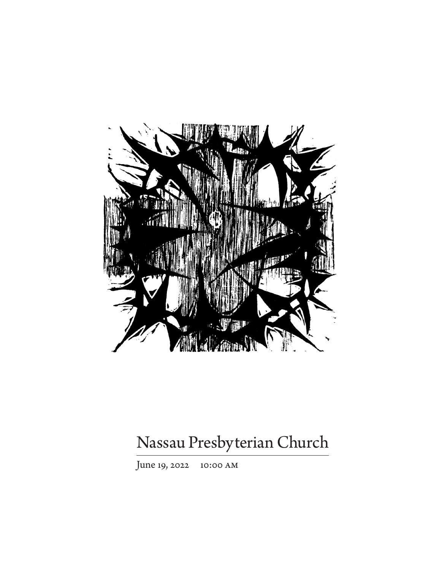

# Nassau Presbyterian Church

June 19, 2022 10:00 am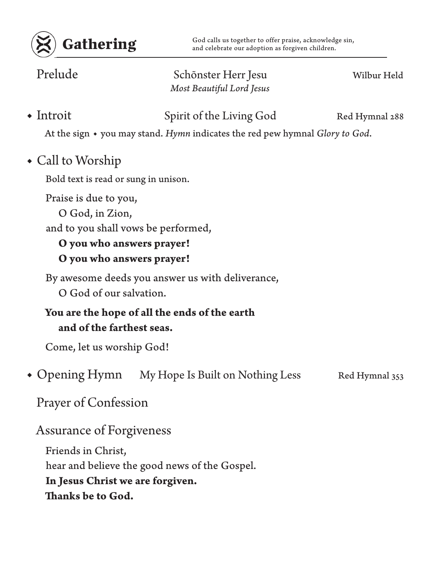

Prelude Schõnster Herr Jesu Wilbur Held *Most Beautiful Lord Jesus*

• Introit

Spirit of the Living God Red Hymnal 288

At the sign ◆ you may stand. *Hymn* indicates the red pew hymnal *Glory to God*.

# Call to Worship ◆

Bold text is read or sung in unison.

Praise is due to you,

O God, in Zion,

and to you shall vows be performed,

#### **O you who answers prayer!**

#### **O you who answers prayer!**

By awesome deeds you answer us with deliverance,

O God of our salvation.

#### **You are the hope of all the ends of the earth and of the farthest seas.**

Come, let us worship God!

#### My Hope Is Built on Nothing Less Red Hymnal 353 • Opening Hymn

# Prayer of Confession

# Assurance of Forgiveness

Friends in Christ, hear and believe the good news of the Gospel. **In Jesus Christ we are forgiven. Thanks be to God.**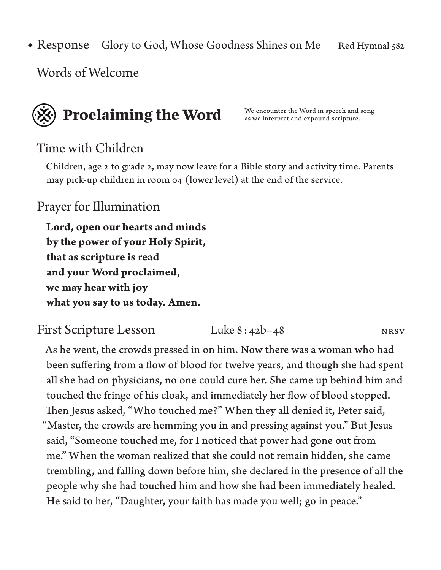Words of Welcome



as we interpret and expound scripture.

### Time with Children

Children, age 2 to grade 2, may now leave for a Bible story and activity time. Parents may pick-up children in room 04 (lower level) at the end of the service.

### Prayer for Illumination

**Lord, open our hearts and minds by the power of your Holy Spirit, that as scripture is read and your Word proclaimed, we may hear with joy what you say to us today. Amen.**

First Scripture Lesson Luke 8:42b-48 NRSV

As he went, the crowds pressed in on him. Now there was a woman who had been suffering from a flow of blood for twelve years, and though she had spent all she had on physicians, no one could cure her. She came up behind him and touched the fringe of his cloak, and immediately her flow of blood stopped. Then Jesus asked, "Who touched me?" When they all denied it, Peter said, "Master, the crowds are hemming you in and pressing against you." But Jesus said, "Someone touched me, for I noticed that power had gone out from me." When the woman realized that she could not remain hidden, she came trembling, and falling down before him, she declared in the presence of all the people why she had touched him and how she had been immediately healed. He said to her, "Daughter, your faith has made you well; go in peace."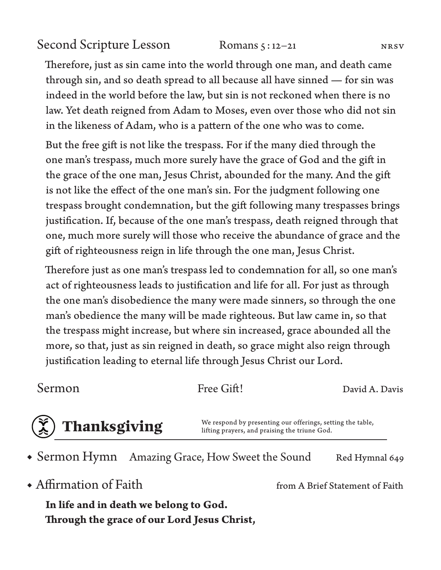### Second Scripture Lesson Romans 5:12–21 NRSV

Therefore, just as sin came into the world through one man, and death came through sin, and so death spread to all because all have sinned — for sin was indeed in the world before the law, but sin is not reckoned when there is no law. Yet death reigned from Adam to Moses, even over those who did not sin in the likeness of Adam, who is a pattern of the one who was to come.

But the free gift is not like the trespass. For if the many died through the one man's trespass, much more surely have the grace of God and the gift in the grace of the one man, Jesus Christ, abounded for the many. And the gift is not like the effect of the one man's sin. For the judgment following one trespass brought condemnation, but the gift following many trespasses brings justification. If, because of the one man's trespass, death reigned through that one, much more surely will those who receive the abundance of grace and the gift of righteousness reign in life through the one man, Jesus Christ.

Therefore just as one man's trespass led to condemnation for all, so one man's act of righteousness leads to justification and life for all. For just as through the one man's disobedience the many were made sinners, so through the one man's obedience the many will be made righteous. But law came in, so that the trespass might increase, but where sin increased, grace abounded all the more, so that, just as sin reigned in death, so grace might also reign through justification leading to eternal life through Jesus Christ our Lord.

Sermon Free Gift! David A. Davis

**Thanksgiving** We respond by presenting our offerings, setting the table,<br>lifting prayers, and praising the triune God. lifting prayers, and praising the triune God.

- Sermon Hymn Amazing Grace, How Sweet the Sound Red Hymnal 649
- ◆ Affirmation of Faith from A Brief Statement of Faith

**In life and in death we belong to God. Through the grace of our Lord Jesus Christ,**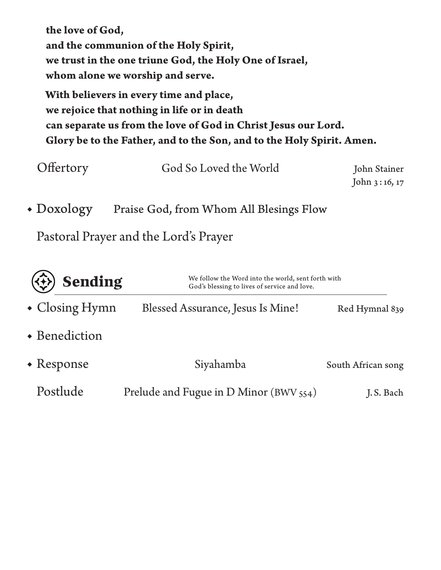**the love of God, and the communion of the Holy Spirit, we trust in the one triune God, the Holy One of Israel, whom alone we worship and serve. With believers in every time and place, we rejoice that nothing in life or in death can separate us from the love of God in Christ Jesus our Lord. Glory be to the Father, and to the Son, and to the Holy Spirit. Amen.**

| Offertory          | God So Loved the World                  | John Stainer<br>John $3:16, 17$ |
|--------------------|-----------------------------------------|---------------------------------|
| $\bullet$ Doxology | Praise God, from Whom All Blesings Flow |                                 |

Pastoral Prayer and the Lord's Prayer

| $(\Leftrightarrow)$ Sending | We follow the Word into the world, sent forth with<br>God's blessing to lives of service and love. |                    |
|-----------------------------|----------------------------------------------------------------------------------------------------|--------------------|
| $\bullet$ Closing Hymn      | Blessed Assurance, Jesus Is Mine!                                                                  | Red Hymnal 839     |
| • Benediction               |                                                                                                    |                    |
| $\bullet$ Response          | Siyahamba                                                                                          | South African song |
| Postlude                    | Prelude and Fugue in D Minor (BWV 554)                                                             | J.S. Bach          |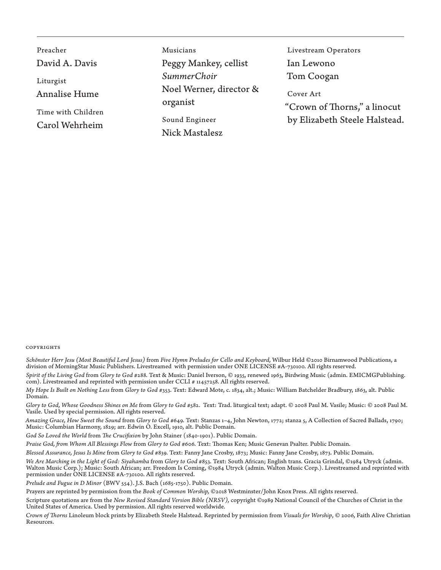Preacher David A. Davis Liturgist Annalise Hume Time with Children Carol Wehrheim Musicians

Peggy Mankey, cellist *SummerChoir* Noel Werner, director & organist

Sound Engineer Nick Mastalesz

Livestream Operators Ian Lewono Tom Coogan

Cover Art

"Crown of Thorns," a linocut by Elizabeth Steele Halstead.

#### Copyrights

*Schõnster Herr Jesu (Most Beautiful Lord Jesus)* from *Five Hymn Preludes for Cello and Keyboard,* Wilbur Held ©2010 Birnamwood Publications, a division of MorningStar Music Publishers. Livestreamed with permission under ONE LICENSE #A-730100. All rights reserved.

*Spirit of the Living God* from *Glory to God* #288. Text & Music: Daniel Iverson, © 1935, renewed 1963, Birdwing Music (admin. EMICMGPublishing. com). Livestreamed and reprinted with permission under CCLI # 11457258. All rights reserved.

*My Hope Is Built on Nothing Less* from *Glory to God* #353. Text: Edward Mote, c. 1834, alt.; Music: William Batchelder Bradbury, 1863, alt. Public Domain.

Glory to God, Whose Goodness Shines on Me from Glory to God #582. Text: Trad. liturgical text; adapt. © 2008 Paul M. Vasile; Music: © 2008 Paul M. Vasile. Used by special permission. All rights reserved.

*Amazing Grace, How Sweet the Sound* from *Glory to God* #649. Text: Stanzas 1–4, John Newton, 1772; stanza 5, A Collection of Sacred Ballads, 1790; Music: Columbian Harmony, 1829; arr. Edwin O. Excell, 1910, alt. Public Domain.

*God So Loved the World* from *The Crucifixion* by John Stainer (1840-1901). Public Domain.

*Praise God, from Whom All Blessings Flow* from *Glory to God* #606. Text: Thomas Ken; Music Genevan Psalter. Public Domain.

*Blessed Assurance, Jesus Is Mine* from *Glory to God* #839. Text: Fanny Jane Crosby, 1873; Music: Fanny Jane Crosby, 1873. Public Domain.

We Are Marching in the Light of God: Siyahamba from Glory to God #853. Text: South African; English trans. Gracia Grindal, ©1984 Utryck (admin.<br>Walton Music Corp.); Music: South African; arr. Freedom Is Coming, ©1984 Utryc permission under ONE LICENSE #A-730100. All rights reserved.

*Prelude and Fugue in D Minor* (BWV 554). J.S. Bach (1685-1750). Public Domain.

Prayers are reprinted by permission from the *Book of Common Worship,* ©2018 Westminster/John Knox Press. All rights reserved.

Scripture quotations are from the *New Revised Standard Version Bible (NRSV),* copyright ©1989 National Council of the Churches of Christ in the United States of America. Used by permission. All rights reserved worldwide.

*Crown of Thorns* Linoleum block prints by Elizabeth Steele Halstead. Reprinted by permission from *Visuals for Worship*, © 2006, Faith Alive Christian Resources.